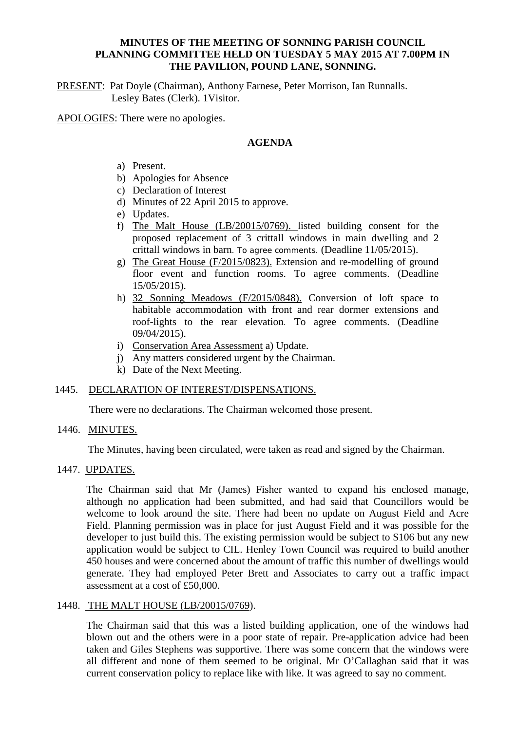## **MINUTES OF THE MEETING OF SONNING PARISH COUNCIL PLANNING COMMITTEE HELD ON TUESDAY 5 MAY 2015 AT 7.00PM IN THE PAVILION, POUND LANE, SONNING.**

PRESENT: Pat Doyle (Chairman), Anthony Farnese, Peter Morrison, Ian Runnalls. Lesley Bates (Clerk). 1Visitor.

APOLOGIES: There were no apologies.

## **AGENDA**

- a) Present.
- b) Apologies for Absence
- c) Declaration of Interest
- d) Minutes of 22 April 2015 to approve.
- e) Updates.
- f) The Malt House (LB/20015/0769). listed building consent for the proposed replacement of 3 crittall windows in main dwelling and 2 crittall windows in barn. To agree comments. (Deadline 11/05/2015).
- g) The Great House (F/2015/0823). Extension and re-modelling of ground floor event and function rooms. To agree comments. (Deadline 15/05/2015).
- h) 32 Sonning Meadows (F/2015/0848). Conversion of loft space to habitable accommodation with front and rear dormer extensions and roof-lights to the rear elevation. To agree comments. (Deadline 09/04/2015).
- i) Conservation Area Assessment a) Update.
- j) Any matters considered urgent by the Chairman.
- k) Date of the Next Meeting.

## 1445. DECLARATION OF INTEREST/DISPENSATIONS.

There were no declarations. The Chairman welcomed those present.

## 1446. MINUTES.

The Minutes, having been circulated, were taken as read and signed by the Chairman.

# 1447. UPDATES.

The Chairman said that Mr (James) Fisher wanted to expand his enclosed manage, although no application had been submitted, and had said that Councillors would be welcome to look around the site. There had been no update on August Field and Acre Field. Planning permission was in place for just August Field and it was possible for the developer to just build this. The existing permission would be subject to S106 but any new application would be subject to CIL. Henley Town Council was required to build another 450 houses and were concerned about the amount of traffic this number of dwellings would generate. They had employed Peter Brett and Associates to carry out a traffic impact assessment at a cost of £50,000.

# 1448. THE MALT HOUSE (LB/20015/0769).

The Chairman said that this was a listed building application, one of the windows had blown out and the others were in a poor state of repair. Pre-application advice had been taken and Giles Stephens was supportive. There was some concern that the windows were all different and none of them seemed to be original. Mr O'Callaghan said that it was current conservation policy to replace like with like. It was agreed to say no comment.